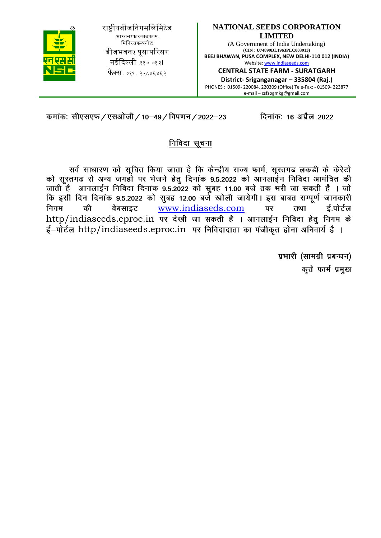**NATIONAL SEEDS CORPORATION LIMITED** (A Government of India Undertaking) **(CIN : U74899DL1963PLC003913) BEEJ BHAWAN, PUSA COMPLEX, NEW DELHI-110 012 (INDIA)** Website: www.indiaseeds.com **CENTRAL STATE FARM - SURATGARH** 

**District- Sriganganagar – 335804 (Raj.)** PHONES : 01509- 220084, 220309 (Office) Tele-Fax: - 01509- 223877 e-mail – csfsogmkg@gmail.com

दिनांकः 16 अप्रैल 2022

कमांकः सीएसएफ / एसओजी / 10–49 / विपणन / 2022–23

राष्ट्रीयबीजनिगमलिमिटेड (भारतसरकारकाउपक्रम-मिनिरत्नकम्पनीद्ध बीजभवनए पुसापरिसर नईदिल्ली ११० ०१२। **फैक्स**. ०११. २५८४६४६२

# निविदा सूचना

सर्व साधारण को सूचित किया जाता हे कि केन्द्रीय राज्य फार्म, सूरतगढ लकडी के केरेटो को सूरतगढ से अन्य जगहो पर भेजने हेतु दिनांक 9.5.2022 को आनलाईन निविदा आमंत्रित की जाती है आनलाईन निविदा दिनांक 9.5.2022 को सुबह 11.00 बजे तक भरी जा सकती है । जो कि इसी दिन दिनांक 9.5.2022 को सुबह 12.00 बजे खोली जायेगी। इस बाबत सम्पूर्ण जानकारी www.indiaseds.com पर तथा ई.पोर्टल निगम की वेबसाइट http/indiaseeds.eproc.in पर देखी जा सकती है । आनलाईन निविदा हेतु निगम के  $\frac{1}{5}$ -पोर्टल http/indiaseeds.eproc.in पर निविदादाता का पंजीकृत होना अनिवार्य है।

> प्रभारी (सामग्री प्रबन्धन) कृतें फार्म प्रमुख

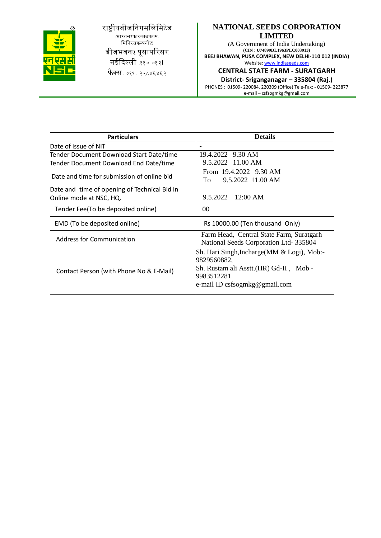

राष्ट्रीयबीजनिगमलिमिटेड ,<br>ारतसरकारकाउपक्रम मिनिरत्नकम्पनीद्ध बीजभवनए पूसापरिसर नईदिल्ली ११० ०१२। फैक्स. ०११. २५८४६४६२

### **NATIONAL SEEDS CORPORATION LIMITED**

(A Government of India Undertaking) **(CIN : U74899DL1963PLC003913) BEEJ BHAWAN, PUSA COMPLEX, NEW DELHI-110 012 (INDIA)** Website: www.indiaseeds.com

**CENTRAL STATE FARM - SURATGARH** 

**District- Sriganganagar – 335804 (Raj.)**

PHONES : 01509- 220084, 220309 (Office) Tele-Fax: - 01509- 223877 e-mail – csfsogmkg@gmail.com

| <b>Particulars</b>                           | <b>Details</b>                                                                                                                                      |  |  |
|----------------------------------------------|-----------------------------------------------------------------------------------------------------------------------------------------------------|--|--|
| Date of issue of NIT                         | $\overline{\phantom{a}}$                                                                                                                            |  |  |
| Tender Document Download Start Date/time     | 19.4.2022 9.30 AM                                                                                                                                   |  |  |
| Tender Document Download End Date/time       | 9.5.2022 11.00 AM                                                                                                                                   |  |  |
| Date and time for submission of online bid   | From 19.4.2022 9.30 AM<br>9.5.2022 11.00 AM<br>To                                                                                                   |  |  |
| Date and time of opening of Technical Bid in |                                                                                                                                                     |  |  |
| Online mode at NSC, HQ.                      | $9.5.2022$ 12:00 AM                                                                                                                                 |  |  |
| Tender Fee(To be deposited online)           | 00                                                                                                                                                  |  |  |
| EMD (To be deposited online)                 | Rs 10000.00 (Ten thousand Only)                                                                                                                     |  |  |
| <b>Address for Communication</b>             | Farm Head, Central State Farm, Suratgarh<br>National Seeds Corporation Ltd-335804                                                                   |  |  |
| Contact Person (with Phone No & E-Mail)      | Sh. Hari Singh, Incharge (MM & Logi), Mob:-<br>9829560882,<br>Sh. Rustam ali Asstt.(HR) Gd-II, Mob -<br>9983512281<br>e-mail ID csfsogmkg@gmail.com |  |  |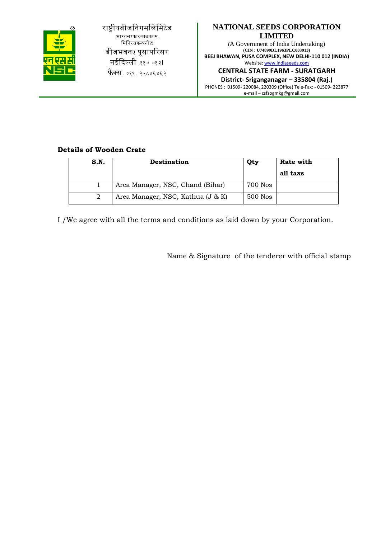

राष्ट्रीयबीजनिगमलिमिटेड (भारतसरकारकाउपक्रम-मिनिरत्नकम्पनीद्ध बीजभवनए पुसापरिसर नईदिल्ली ११० ०१२। **फैक्स**. ०११. २५८४६४६२

## **NATIONAL SEEDS CORPORATION LIMITED**

(A Government of India Undertaking) **(CIN : U74899DL1963PLC003913) BEEJ BHAWAN, PUSA COMPLEX, NEW DELHI-110 012 (INDIA)** Website: www.indiaseeds.com

# **CENTRAL STATE FARM - SURATGARH**

**District- Sriganganagar – 335804 (Raj.)** PHONES : 01509- 220084, 220309 (Office) Tele-Fax: - 01509- 223877 e-mail – csfsogmkg@gmail.com

### **Details of Wooden Crate**

| S.N. | <b>Destination</b>                | Qty     | Rate with |
|------|-----------------------------------|---------|-----------|
|      |                                   |         | all taxs  |
|      | Area Manager, NSC, Chand (Bihar)  | 700 Nos |           |
| 2    | Area Manager, NSC, Kathua (J & K) | 500 Nos |           |

I /We agree with all the terms and conditions as laid down by your Corporation.

Name & Signature of the tenderer with official stamp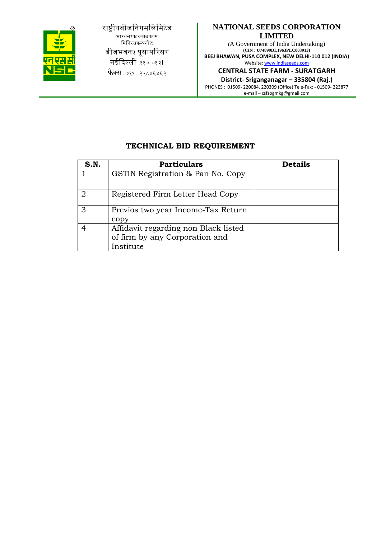

राष्ट्रीयबीजनिगमलिमिटेड (भारतसरकारकाउपक्रम-मिनिरत्नकम्पनीद्ध बीजभवनए पूसापरिसर नईदिल्ली ११० ०१२। फैक्स. ०११. २५८४६४६२

## **NATIONAL SEEDS CORPORATION LIMITED**

(A Government of India Undertaking) **(CIN : U74899DL1963PLC003913) BEEJ BHAWAN, PUSA COMPLEX, NEW DELHI-110 012 (INDIA)** Website: www.indiaseeds.com

**CENTRAL STATE FARM - SURATGARH** 

**District- Sriganganagar – 335804 (Raj.)** PHONES : 01509- 220084, 220309 (Office) Tele-Fax: - 01509- 223877 e-mail – csfsogmkg@gmail.com

# **TECHNICAL BID REQUIREMENT**

| S.N. | Particulars                                                                         | <b>Details</b> |
|------|-------------------------------------------------------------------------------------|----------------|
|      | GSTIN Registration & Pan No. Copy                                                   |                |
| 2    | Registered Firm Letter Head Copy                                                    |                |
|      | Previos two year Income-Tax Return<br>copy                                          |                |
|      | Affidavit regarding non Black listed<br>of firm by any Corporation and<br>Institute |                |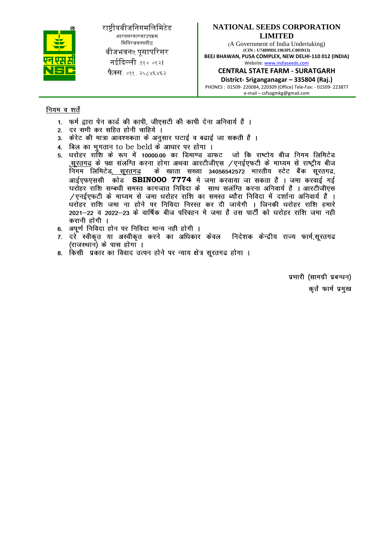

राष्ट्रीयबीजनिगमलिमिटेड (भारतसरकारकाउपक्रम-मिनिरत्नकम्पनीद्ध बीजभवनए पुसापरिसर नईदिल्ली ११० ०१२। **फैक्स**. ०११. २५८४६४६२

## **NATIONAL SEEDS CORPORATION LIMITED**

(A Government of India Undertaking) **(CIN : U74899DL1963PLC003913) BEEJ BHAWAN, PUSA COMPLEX, NEW DELHI-110 012 (INDIA)** Website: www.indiaseeds.com

**CENTRAL STATE FARM - SURATGARH** 

**District- Sriganganagar – 335804 (Raj.)** PHONES : 01509- 220084, 220309 (Office) Tele-Fax: - 01509- 223877 e-mail – csfsogmkg@gmail.com

### नियम व शर्ते

- 1. फर्म द्वारा पेन कार्ड की कापी, जीएसटी की कापी देना अनिवार्य है ।
- 2. दर सभी कर सहित होनी चाहिये ।
- 3. केरेट की मात्रा आवश्यकता के अनुसार घटाई व बढाई जा सकती है ।
- 4. बिल का भगतान to be beld के आधार पर होगा ।
- धरोहर राशि के रूप में 10000.00 का डिमाण्ड डाफट जो कि राष्टोय बीज निगम लिमिटेड  $5<sup>1</sup>$ ,सूरतगढ के पक्ष संलग्ति करना होगा अथवा आरटीजीएस /एनईएफटी के माघ्यम से राष्ट्रीय बीज निगम लिमिटेड, सूरतगढ के खाता सख्या 34056542572 भारतीय स्टेट बैंक सूरतगढ, आईएफएससी कोड SBINOOO 7774 मे जमा करवाया जा सकता है । जमा करवाई गई<br>घरोहर राशि सम्बधी समस्त कागजात निविदा के साथ सलंग्ति करना अनिवार्य है । आरटीजीएस /एनईएफटी के माघ्यम से जमा धरोहर राशि का समस्त ब्यौरा निविदा में दर्शाना अनिवार्य है । धरोहर राशि जमा ना होने पर निविदा निरस्त कर दी जायेगी । जिनकी धरोहर राशि हमारे 2021-22 व 2022-23 के वार्षिक बीज परिवहन मे जमा है उस पार्टी को धरोहर राशि जमा नही करानी होगी ।
- 6. अपूर्ण निविदा होन पर निविदा मान्य नही होगी ।
- 7. दरे स्वीकृत या अस्वीकृत करने का अधिकार केवल निदेशक केन्द्रीय राज्य फार्म,सुरतगढ (राजस्थान) के पास होगा ।
- किसी प्रकार का विवाद उत्पन होने पर न्याय क्षेत्र सूरतगढ होगा । 8.

प्रभारी (सामग्री प्रबन्धन) कृतें फार्म प्रमुख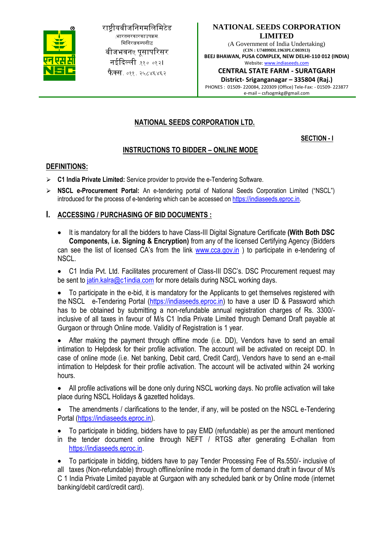

राष्ट्रीयबीजनिगमलिमिटेड (भारतसरकारकाउपक्रम-मिनिरत्नकम्पनीद्ध बीजभवनए पुसापरिसर नईदिल्ली ११० ०१२। **फेक्स**. ०११. २५८४६४६२

### **NATIONAL SEEDS CORPORATION LIMITED**

(A Government of India Undertaking) **(CIN : U74899DL1963PLC003913) BEEJ BHAWAN, PUSA COMPLEX, NEW DELHI-110 012 (INDIA)** Website: www.indiaseeds.com

**CENTRAL STATE FARM - SURATGARH** 

**District- Sriganganagar – 335804 (Raj.)** PHONES : 01509- 220084, 220309 (Office) Tele-Fax: - 01509- 223877 e-mail – csfsogmkg@gmail.com

# **NATIONAL SEEDS CORPORATION LTD.**

**SECTION - I**

## **INSTRUCTIONS TO BIDDER – ONLINE MODE**

### **DEFINITIONS:**

- **C1 India Private Limited:** Service provider to provide the e-Tendering Software.
- **NSCL e-Procurement Portal:** An e-tendering portal of National Seeds Corporation Limited ("NSCL") introduced for the process of e-tendering which can be accessed on https://indiaseeds.eproc.in.

### **I. ACCESSING / PURCHASING OF BID DOCUMENTS :**

 It is mandatory for all the bidders to have Class-III Digital Signature Certificate **(With Both DSC Components, i.e. Signing & Encryption)** from any of the licensed Certifying Agency (Bidders can see the list of licensed CA's from the link www.cca.gov.in ) to participate in e-tendering of NSCL.

• C1 India Pvt. Ltd. Facilitates procurement of Class-III DSC's. DSC Procurement request may be sent to jatin.kalra@c1india.com for more details during NSCL working days.

 To participate in the e-bid, it is mandatory for the Applicants to get themselves registered with the NSCL e-Tendering Portal (https://indiaseeds.eproc.in) to have a user ID & Password which has to be obtained by submitting a non-refundable annual registration charges of Rs. 3300/ inclusive of all taxes in favour of M/s C1 India Private Limited through Demand Draft payable at Gurgaon or through Online mode. Validity of Registration is 1 year.

 After making the payment through offline mode (i.e. DD), Vendors have to send an email intimation to Helpdesk for their profile activation. The account will be activated on receipt DD. In case of online mode (i.e. Net banking, Debit card, Credit Card), Vendors have to send an e-mail intimation to Helpdesk for their profile activation. The account will be activated within 24 working hours.

 All profile activations will be done only during NSCL working days. No profile activation will take place during NSCL Holidays & gazetted holidays.

 The amendments / clarifications to the tender, if any, will be posted on the NSCL e-Tendering Portal (https://indiaseeds.eproc.in).

To participate in bidding, bidders have to pay EMD (refundable) as per the amount mentioned

in the tender document online through NEFT / RTGS after generating E-challan from https://indiaseeds.eproc.in.

 To participate in bidding, bidders have to pay Tender Processing Fee of Rs.550/- inclusive of all taxes (Non-refundable) through offline/online mode in the form of demand draft in favour of M/s C 1 India Private Limited payable at Gurgaon with any scheduled bank or by Online mode (internet banking/debit card/credit card).